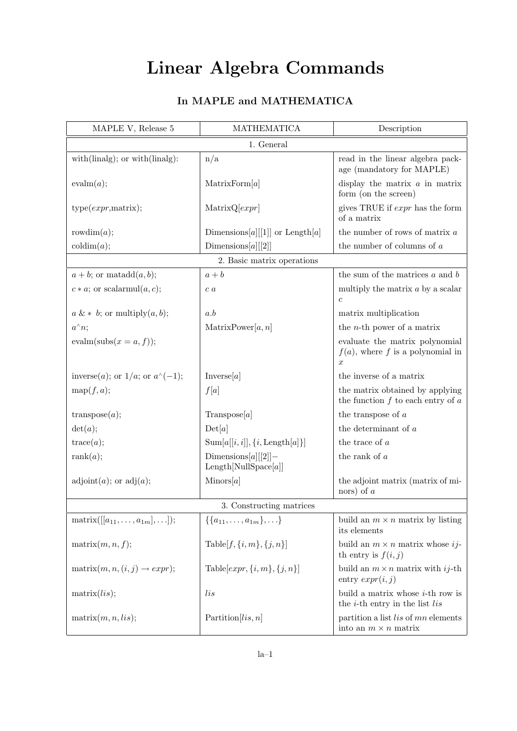## Linear Algebra Commands

| In MAPLE and MATHEMATICA |
|--------------------------|
|--------------------------|

| MAPLE V, Release 5                            | <b>MATHEMATICA</b>                           | Description                                                                            |  |  |
|-----------------------------------------------|----------------------------------------------|----------------------------------------------------------------------------------------|--|--|
|                                               | 1. General                                   |                                                                                        |  |  |
| $with(linalg);$ or $with(linalg):$            | n/a                                          | read in the linear algebra pack-<br>age (mandatory for MAPLE)                          |  |  |
| evalm(a);                                     | MatrixForm[a]                                | display the matrix $a$ in matrix<br>form (on the screen)                               |  |  |
| type(exp, matrix);                            | MatrixQ[expr]                                | gives TRUE if $expr$ has the form<br>of a matrix                                       |  |  |
| rowdim $(a);$                                 | Dimensions[a][[1]] or Length[a]              | the number of rows of matrix $a$                                                       |  |  |
| $\mathrm{codim}(a);$                          | Dimensions[a][[2]]                           | the number of columns of $a$                                                           |  |  |
|                                               | 2. Basic matrix operations                   |                                                                                        |  |  |
| $a + b$ ; or matadd $(a, b)$ ;                | $a + b$                                      | the sum of the matrices $a$ and $b$                                                    |  |  |
| $c * a$ ; or scalarmul $(a, c)$ ;             | c <sub>a</sub>                               | multiply the matrix $a$ by a scalar<br>$\boldsymbol{c}$                                |  |  |
| $a \& * b$ ; or multiply $(a, b)$ ;           | a.b                                          | matrix multiplication                                                                  |  |  |
| $a^{\wedge}n;$                                | MatrixPower[a, n]                            | the <i>n</i> -th power of a matrix                                                     |  |  |
| evalm(subs $(x = a, f)$ );                    |                                              | evaluate the matrix polynomial<br>$f(a)$ , where f is a polynomial in<br>$\mathcal{X}$ |  |  |
| inverse( <i>a</i> ); or $1/a$ ; or $a^(-1)$ ; | Inverse[a]                                   | the inverse of a matrix                                                                |  |  |
| map(f,a);                                     | f[a]                                         | the matrix obtained by applying<br>the function $f$ to each entry of $a$               |  |  |
| transpose(a);                                 | Transpose[a]                                 | the transpose of $a$                                                                   |  |  |
| det(a);                                       | Det[a]                                       | the determinant of $a$                                                                 |  |  |
| trace(a);                                     | $Sum[a[[i, i]], \{i, Length[a]\}]$           | the trace of a                                                                         |  |  |
| rank $(a)$ ;                                  | $Dimensions[a][2]$ -<br>Length[NullSpace[a]] | the rank of $a$                                                                        |  |  |
| $adjoint(a);$ or $adj(a);$                    | Minors[a]                                    | the adjoint matrix (matrix of mi-<br>nors) of $a$                                      |  |  |
| 3. Constructing matrices                      |                                              |                                                                                        |  |  |
| $matrix([[a_{11},,a_{1m}],]);$                | $\{\{a_{11},\ldots,a_{1m}\},\ldots\}$        | build an $m \times n$ matrix by listing<br>its elements                                |  |  |
| matrix(m, n, f);                              | Table $[f, \{i, m\}, \{j, n\}]$              | build an $m \times n$ matrix whose <i>ij</i> -<br>th entry is $f(i, j)$                |  |  |
| $matrix(m, n, (i, j) \rightarrow expr);$      | Table[ $expr$ , $\{i, m\}$ , $\{j, n\}$ ]    | build an $m \times n$ matrix with ij-th<br>entry $expr(i, j)$                          |  |  |
| $matrix($ );                                  | $_{lis}$                                     | build a matrix whose $i$ -th row is<br>the $i$ -th entry in the list lis               |  |  |
| matrix(m, n, lis);                            | Partition[ <i>lis</i> , n]                   | partition a list lis of mn elements<br>into an $m \times n$ matrix                     |  |  |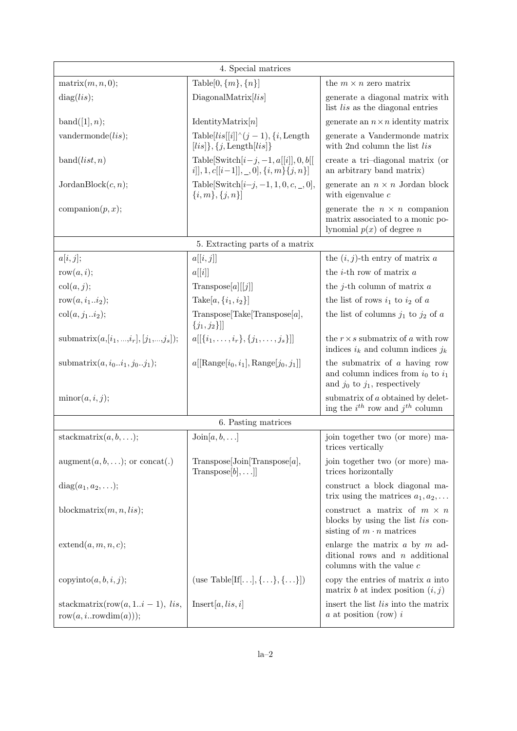| 4. Special matrices                                                |                                                                                                   |                                                                                                                |  |  |
|--------------------------------------------------------------------|---------------------------------------------------------------------------------------------------|----------------------------------------------------------------------------------------------------------------|--|--|
| matrix(m, n, 0);                                                   | Table [0, $\{m\}$ , $\{n\}$ ]                                                                     | the $m \times n$ zero matrix                                                                                   |  |  |
| diag(lis);                                                         | DiagonalMatrix[li s]                                                                              | generate a diagonal matrix with<br>list list as the diagonal entries                                           |  |  |
| band([1], n);                                                      | IdentityMatrix[n]                                                                                 | generate an $n \times n$ identity matrix                                                                       |  |  |
| vandermonde(lis);                                                  | Table $[li s[[i]]^{\wedge} (j-1), \{i, \text{Length}\}$<br>$[iis] \}, \{j, \text{Length}[lis] \}$ | generate a Vandermonde matrix<br>with 2nd column the list lis                                                  |  |  |
| band(list, n)                                                      | Table[Switch $[i-j, -1, a[[i]], 0, b[[$<br>$[i], 1, c[[i-1]], \_, 0], \{i, m\}, \{j, n\}]$        | create a tri-diagonal matrix (or<br>an arbitrary band matrix)                                                  |  |  |
| JordanBlock(c, n);                                                 | Table [Switch $[i-j, -1, 1, 0, c, 0]$ ,<br>$\{i,m\},\{j,n\}$                                      | generate an $n \times n$ Jordan block<br>with eigenvalue $c$                                                   |  |  |
| companion(p, x);                                                   |                                                                                                   | generate the $n \times n$ companion<br>matrix associated to a monic po-<br>lynomial $p(x)$ of degree n         |  |  |
|                                                                    | 5. Extracting parts of a matrix                                                                   |                                                                                                                |  |  |
| a[i, j];                                                           | a[[i,j]]                                                                                          | the $(i, j)$ -th entry of matrix a                                                                             |  |  |
| row $(a, i);$                                                      | a[[i]]                                                                                            | the $i$ -th row of matrix $a$                                                                                  |  |  |
| col(a, j);                                                         | $\text{Transpose}[a][[j]]$                                                                        | the <i>j</i> -th column of matrix $a$                                                                          |  |  |
| row $(a, i_1i_2);$                                                 | Take[ $a, \{i_1, i_2\}$ ]                                                                         | the list of rows $i_1$ to $i_2$ of a                                                                           |  |  |
| $\text{col}(a, j_1i_2);$                                           | Transpose[Take[Transpose[a],<br>$\{j_1, j_2\}$ ]                                                  | the list of columns $j_1$ to $j_2$ of a                                                                        |  |  |
| submatrix $(a, [i_1, , i_r], [j_1, , j_s])$ ;                      | $a[[\{i_1,\ldots,i_r\},\{j_1,\ldots,j_s\}]]$                                                      | the $r \times s$ submatrix of a with row<br>indices $i_k$ and column indices $j_k$                             |  |  |
| submatrix $(a, i_0i_1, j_0j_1);$                                   | $a[[\text{Range}[i_0, i_1], \text{Range}[j_0, j_1]]$                                              | the submatrix of $a$ having row<br>and column indices from $i_0$ to $i_1$<br>and $j_0$ to $j_1$ , respectively |  |  |
| $\text{minor}(a, i, j);$                                           |                                                                                                   | submatrix of a obtained by delet-<br>ing the $i^{th}$ row and $j^{th}$ column                                  |  |  |
| 6. Pasting matrices                                                |                                                                                                   |                                                                                                                |  |  |
| stackmatrix $(a, b, \ldots);$                                      | $Join[a, b, \ldots]$                                                                              | join together two (or more) ma-<br>trices vertically                                                           |  |  |
| $augment(a, b, \ldots);$ or concat(.)                              | Transpose[Join[Transpose[a],<br>$\text{Transpose}[b], \ldots]$                                    | join together two (or more) ma-<br>trices horizontally                                                         |  |  |
| $diag(a_1, a_2, \ldots);$                                          |                                                                                                   | construct a block diagonal ma-<br>trix using the matrices $a_1, a_2, \ldots$                                   |  |  |
| blockmatrix $(m, n, lis);$                                         |                                                                                                   | construct a matrix of $m \times n$<br>blocks by using the list lis con-<br>sisting of $m \cdot n$ matrices     |  |  |
| extend(a, m, n, c);                                                |                                                                                                   | enlarge the matrix $a$ by $m$ ad-<br>ditional rows and $n$ additional<br>columns with the value $c$            |  |  |
| $\text{copyinto}(a, b, i, j);$                                     | (use Table[If[], $\{ \ldots \}$ , $\{ \ldots \}$ ])                                               | copy the entries of matrix $a$ into<br>matrix b at index position $(i, j)$                                     |  |  |
| stackmatrix(row(a, 1 <i>i</i> – 1), lis,<br>row(a, i  rowdim(a))); | Insert[a, lis, i]                                                                                 | insert the list <i>lis</i> into the matrix<br>$a$ at position (row) $i$                                        |  |  |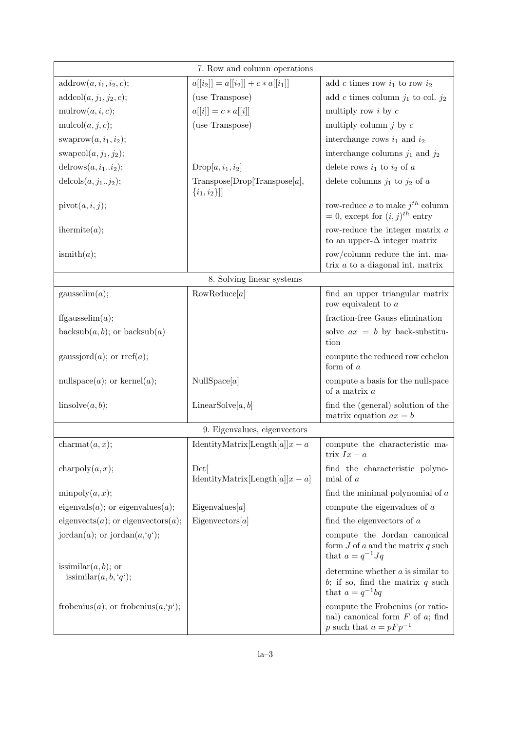| 7. Row and column operations                                |                                                     |                                                                                                         |  |  |
|-------------------------------------------------------------|-----------------------------------------------------|---------------------------------------------------------------------------------------------------------|--|--|
| $addrow(a, i_1, i_2, c);$                                   | $a[[i_2]] = a[[i_2]] + c * a[[i_1]]$                | add c times row $i_1$ to row $i_2$                                                                      |  |  |
| $addcol(a, j_1, j_2, c);$                                   | (use Transpose)                                     | add c times column $j_1$ to col. $j_2$                                                                  |  |  |
| mulrow $(a, i, c);$                                         | $a[[i]] = c * a[[i]]$                               | multiply row $i$ by $c$                                                                                 |  |  |
| mulcol $(a, j, c);$                                         | (use Transpose)                                     | multiply column $j$ by $c$                                                                              |  |  |
| swaprow $(a, i_1, i_2);$                                    |                                                     | interchange rows $i_1$ and $i_2$                                                                        |  |  |
| swapcol $(a, j_1, j_2);$                                    |                                                     | interchange columns $j_1$ and $j_2$                                                                     |  |  |
| delrows $(a, i_1i_2);$                                      | $Drop[a, i_1, i_2]$                                 | delete rows $i_1$ to $i_2$ of a                                                                         |  |  |
| delcols $(a, j_1j_2);$                                      | Transpose[Drop[Transpose[a],<br>$\{i_1, i_2\}$ ]    | delete columns $j_1$ to $j_2$ of a                                                                      |  |  |
| pivot(a, i, j);                                             |                                                     | row-reduce a to make $j^{th}$ column<br>$= 0$ , except for $(i, j)^{th}$ entry                          |  |  |
| $\text{thermite}(a);$                                       |                                                     | row-reduce the integer matrix $a$<br>to an upper- $\Delta$ integer matrix                               |  |  |
| ismith(a);                                                  |                                                     | row/column reduce the int. ma-<br>trix $a$ to a diagonal int. matrix                                    |  |  |
| 8. Solving linear systems                                   |                                                     |                                                                                                         |  |  |
| gausselim(a);                                               | RowReduce[a]                                        | find an upper triangular matrix<br>row equivalent to $a$                                                |  |  |
| ffgausselim $(a)$ ;                                         |                                                     | fraction-free Gauss elimination                                                                         |  |  |
| backsub $(a, b)$ ; or backsub $(a)$                         |                                                     | solve $ax = b$ by back-substitu-<br>tion                                                                |  |  |
| gaussjord $(a)$ ; or rref $(a)$ ;                           |                                                     | compute the reduced row echelon<br>form of $a$                                                          |  |  |
| nullspace( <i>a</i> ); or kernel( <i>a</i> );               | NullSpace[ $a$ ]                                    | compute a basis for the nullspace<br>of a matrix $a$                                                    |  |  |
| linsolve(a, b);                                             | LinearSolve[ $a, b$ ]                               | find the (general) solution of the<br>matrix equation $ax = b$                                          |  |  |
| 9. Eigenvalues, eigenvectors                                |                                                     |                                                                                                         |  |  |
| $\text{charmat}(a, x);$                                     | IdentityMatrix[Length[a]] $x - a$                   | compute the characteristic ma-<br>trix $Ix - a$                                                         |  |  |
| charpoly $(a, x)$ ;                                         | $_{\rm Det}$<br>IdentityMatrix[Length[a]] $x - a$ ] | find the characteristic polyno-<br>mial of $a$                                                          |  |  |
| minpoly(a, x);                                              |                                                     | find the minimal polynomial of $a$                                                                      |  |  |
| eigenvals $(a)$ ; or eigenvalues $(a)$ ;                    | Eigenvalues[a]                                      | compute the eigenvalues of $a$                                                                          |  |  |
| eigenvects $(a)$ ; or eigenvectors $(a)$ ;                  | Eigenvectors[a]                                     | find the eigenvectors of $a$                                                                            |  |  |
| jordan $(a)$ ; or jordan $(a, q')$ ;                        |                                                     | compute the Jordan canonical<br>form $J$ of $a$ and the matrix $q$ such<br>that $a = q^{-1}Jq$          |  |  |
| issimilar $(a, b)$ ; or<br>issimilar $(a, b, 'q');$         |                                                     | determine whether $a$ is similar to<br>b; if so, find the matrix $q$ such<br>that $a = q^{-1}bq$        |  |  |
| frobenius( <i>a</i> ); or frobenius( $a, p$ <sup>'</sup> ); |                                                     | compute the Frobenius (or ratio-<br>nal) canonical form $F$ of $a$ ; find<br>p such that $a = pFp^{-1}$ |  |  |